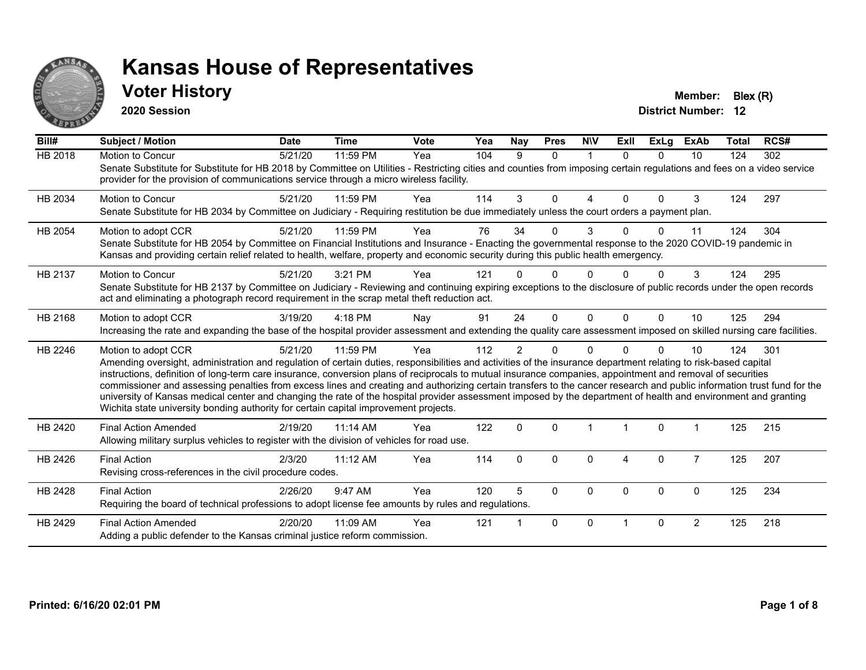

#### **Voter History Member: Blex (R)**

**2020 Session**

| Bill#          | Subject / Motion                                                                                                                                                                                                                                                                                                                                                                                                                                                                                                                                                                                                                                                                                                                                                                         | <b>Date</b> | <b>Time</b> | <b>Vote</b> | Yea | Nay            | <b>Pres</b> | <b>NIV</b>  | ExII     | <b>ExLg</b> | <b>ExAb</b>    | <b>Total</b> | RCS# |
|----------------|------------------------------------------------------------------------------------------------------------------------------------------------------------------------------------------------------------------------------------------------------------------------------------------------------------------------------------------------------------------------------------------------------------------------------------------------------------------------------------------------------------------------------------------------------------------------------------------------------------------------------------------------------------------------------------------------------------------------------------------------------------------------------------------|-------------|-------------|-------------|-----|----------------|-------------|-------------|----------|-------------|----------------|--------------|------|
| <b>HB 2018</b> | Motion to Concur<br>Senate Substitute for Substitute for HB 2018 by Committee on Utilities - Restricting cities and counties from imposing certain regulations and fees on a video service<br>provider for the provision of communications service through a micro wireless facility.                                                                                                                                                                                                                                                                                                                                                                                                                                                                                                    | 5/21/20     | 11:59 PM    | Yea         | 104 | 9              | $\Omega$    | $\mathbf 1$ | $\Omega$ | $\Omega$    | 10             | 124          | 302  |
| HB 2034        | <b>Motion to Concur</b><br>Senate Substitute for HB 2034 by Committee on Judiciary - Requiring restitution be due immediately unless the court orders a payment plan.                                                                                                                                                                                                                                                                                                                                                                                                                                                                                                                                                                                                                    | 5/21/20     | 11:59 PM    | Yea         | 114 | 3              | $\Omega$    | 4           | $\Omega$ | $\Omega$    | 3              | 124          | 297  |
| HB 2054        | Motion to adopt CCR<br>Senate Substitute for HB 2054 by Committee on Financial Institutions and Insurance - Enacting the governmental response to the 2020 COVID-19 pandemic in<br>Kansas and providing certain relief related to health, welfare, property and economic security during this public health emergency.                                                                                                                                                                                                                                                                                                                                                                                                                                                                   | 5/21/20     | 11:59 PM    | Yea         | 76  | 34             | 0           | 3           |          | $\Omega$    | 11             | 124          | 304  |
| HB 2137        | Motion to Concur<br>Senate Substitute for HB 2137 by Committee on Judiciary - Reviewing and continuing expiring exceptions to the disclosure of public records under the open records<br>act and eliminating a photograph record requirement in the scrap metal theft reduction act.                                                                                                                                                                                                                                                                                                                                                                                                                                                                                                     | 5/21/20     | 3:21 PM     | Yea         | 121 |                |             |             |          | U           | 3              | 124          | 295  |
| HB 2168        | Motion to adopt CCR<br>Increasing the rate and expanding the base of the hospital provider assessment and extending the quality care assessment imposed on skilled nursing care facilities.                                                                                                                                                                                                                                                                                                                                                                                                                                                                                                                                                                                              | 3/19/20     | 4:18 PM     | Nay         | 91  | 24             | $\Omega$    | $\Omega$    | $\Omega$ | $\Omega$    | 10             | 125          | 294  |
| HB 2246        | Motion to adopt CCR<br>Amending oversight, administration and regulation of certain duties, responsibilities and activities of the insurance department relating to risk-based capital<br>instructions, definition of long-term care insurance, conversion plans of reciprocals to mutual insurance companies, appointment and removal of securities<br>commissioner and assessing penalties from excess lines and creating and authorizing certain transfers to the cancer research and public information trust fund for the<br>university of Kansas medical center and changing the rate of the hospital provider assessment imposed by the department of health and environment and granting<br>Wichita state university bonding authority for certain capital improvement projects. | 5/21/20     | 11:59 PM    | Yea         | 112 | $\overline{2}$ | 0           | $\Omega$    |          | $\Omega$    | 10             | 124          | 301  |
| HB 2420        | <b>Final Action Amended</b><br>Allowing military surplus vehicles to register with the division of vehicles for road use.                                                                                                                                                                                                                                                                                                                                                                                                                                                                                                                                                                                                                                                                | 2/19/20     | 11:14 AM    | Yea         | 122 | $\Omega$       | $\Omega$    |             |          | $\Omega$    |                | 125          | 215  |
| HB 2426        | <b>Final Action</b><br>Revising cross-references in the civil procedure codes.                                                                                                                                                                                                                                                                                                                                                                                                                                                                                                                                                                                                                                                                                                           | 2/3/20      | $11:12$ AM  | Yea         | 114 | $\Omega$       | $\Omega$    | $\Omega$    | 4        | $\mathbf 0$ | $\overline{7}$ | 125          | 207  |
| HB 2428        | <b>Final Action</b><br>Requiring the board of technical professions to adopt license fee amounts by rules and regulations.                                                                                                                                                                                                                                                                                                                                                                                                                                                                                                                                                                                                                                                               | 2/26/20     | 9:47 AM     | Yea         | 120 | 5              | $\Omega$    | $\Omega$    | $\Omega$ | $\Omega$    | $\mathbf{0}$   | 125          | 234  |
| HB 2429        | <b>Final Action Amended</b><br>Adding a public defender to the Kansas criminal justice reform commission.                                                                                                                                                                                                                                                                                                                                                                                                                                                                                                                                                                                                                                                                                | 2/20/20     | 11:09 AM    | Yea         | 121 |                | $\Omega$    | $\Omega$    |          | $\Omega$    | $\overline{2}$ | 125          | 218  |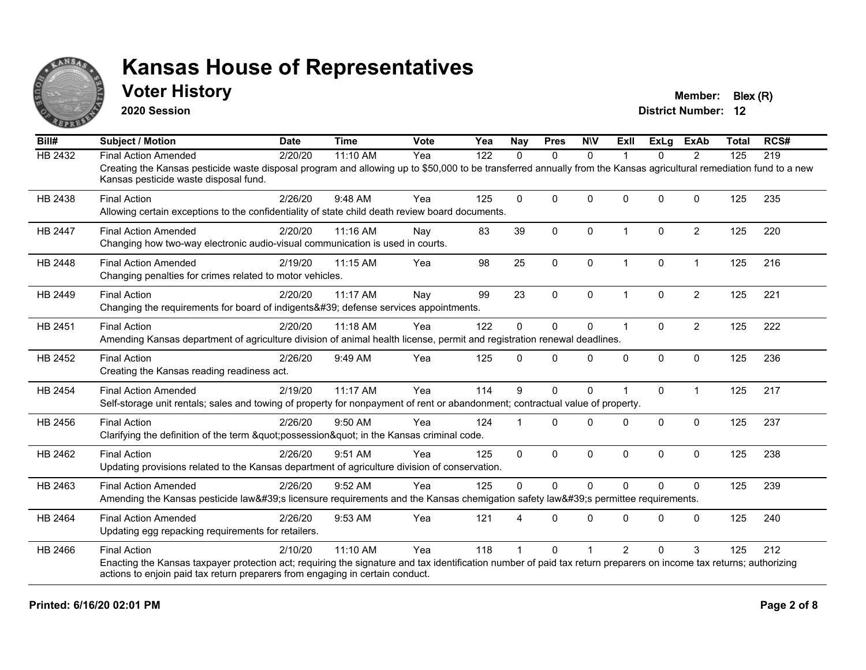

#### **Voter History Member: Blex (R)**

**2020 Session**

| Bill#          | <b>Subject / Motion</b>                                                                                                                                                                                     | <b>Date</b> | <b>Time</b> | <b>Vote</b> | Yea | <b>Nay</b>   | <b>Pres</b>  | <b>NIV</b>  | ExII                 | <b>ExLg</b> | <b>ExAb</b>    | <b>Total</b> | RCS# |
|----------------|-------------------------------------------------------------------------------------------------------------------------------------------------------------------------------------------------------------|-------------|-------------|-------------|-----|--------------|--------------|-------------|----------------------|-------------|----------------|--------------|------|
| <b>HB 2432</b> | <b>Final Action Amended</b>                                                                                                                                                                                 | 2/20/20     | 11:10 AM    | Yea         | 122 | 0            | $\mathbf{0}$ | $\Omega$    |                      | 0           | $\overline{2}$ | 125          | 219  |
|                | Creating the Kansas pesticide waste disposal program and allowing up to \$50,000 to be transferred annually from the Kansas agricultural remediation fund to a new<br>Kansas pesticide waste disposal fund. |             |             |             |     |              |              |             |                      |             |                |              |      |
| HB 2438        | <b>Final Action</b>                                                                                                                                                                                         | 2/26/20     | 9:48 AM     | Yea         | 125 | $\Omega$     | $\Omega$     | $\Omega$    | $\Omega$             | $\Omega$    | $\mathbf{0}$   | 125          | 235  |
|                | Allowing certain exceptions to the confidentiality of state child death review board documents.                                                                                                             |             |             |             |     |              |              |             |                      |             |                |              |      |
| <b>HB 2447</b> | <b>Final Action Amended</b>                                                                                                                                                                                 | 2/20/20     | 11:16 AM    | Nay         | 83  | 39           | $\mathbf{0}$ | $\Omega$    | $\blacktriangleleft$ | $\Omega$    | $\overline{2}$ | 125          | 220  |
|                | Changing how two-way electronic audio-visual communication is used in courts.                                                                                                                               |             |             |             |     |              |              |             |                      |             |                |              |      |
| <b>HB 2448</b> | <b>Final Action Amended</b>                                                                                                                                                                                 | 2/19/20     | 11:15 AM    | Yea         | 98  | 25           | $\mathbf 0$  | $\mathbf 0$ | $\mathbf 1$          | 0           | $\mathbf{1}$   | 125          | 216  |
|                | Changing penalties for crimes related to motor vehicles.                                                                                                                                                    |             |             |             |     |              |              |             |                      |             |                |              |      |
| HB 2449        | <b>Final Action</b>                                                                                                                                                                                         | 2/20/20     | 11:17 AM    | Nay         | 99  | 23           | $\mathbf{0}$ | $\Omega$    | $\blacktriangleleft$ | $\Omega$    | $\overline{2}$ | 125          | 221  |
|                | Changing the requirements for board of indigents' defense services appointments.                                                                                                                            |             |             |             |     |              |              |             |                      |             |                |              |      |
| HB 2451        | <b>Final Action</b>                                                                                                                                                                                         | 2/20/20     | 11:18 AM    | Yea         | 122 | $\Omega$     | $\mathbf 0$  | $\Omega$    | $\blacktriangleleft$ | $\Omega$    | $\overline{2}$ | 125          | 222  |
|                | Amending Kansas department of agriculture division of animal health license, permit and registration renewal deadlines.                                                                                     |             |             |             |     |              |              |             |                      |             |                |              |      |
| HB 2452        | <b>Final Action</b>                                                                                                                                                                                         | 2/26/20     | 9:49 AM     | Yea         | 125 | $\Omega$     | $\Omega$     | $\Omega$    | $\Omega$             | 0           | $\mathbf 0$    | 125          | 236  |
|                | Creating the Kansas reading readiness act.                                                                                                                                                                  |             |             |             |     |              |              |             |                      |             |                |              |      |
| HB 2454        | <b>Final Action Amended</b>                                                                                                                                                                                 | 2/19/20     | 11:17 AM    | Yea         | 114 | 9            | $\mathbf{0}$ | $\Omega$    |                      | $\Omega$    | $\overline{1}$ | 125          | 217  |
|                | Self-storage unit rentals; sales and towing of property for nonpayment of rent or abandonment; contractual value of property.                                                                               |             |             |             |     |              |              |             |                      |             |                |              |      |
| HB 2456        | <b>Final Action</b>                                                                                                                                                                                         | 2/26/20     | 9:50 AM     | Yea         | 124 |              | $\Omega$     | $\Omega$    | $\Omega$             | $\Omega$    | $\mathbf{0}$   | 125          | 237  |
|                | Clarifying the definition of the term "possession" in the Kansas criminal code.                                                                                                                             |             |             |             |     |              |              |             |                      |             |                |              |      |
| HB 2462        | <b>Final Action</b>                                                                                                                                                                                         | 2/26/20     | 9:51 AM     | Yea         | 125 | $\mathbf{0}$ | $\mathbf{0}$ | $\Omega$    | $\mathbf{0}$         | $\Omega$    | $\mathbf{0}$   | 125          | 238  |
|                | Updating provisions related to the Kansas department of agriculture division of conservation.                                                                                                               |             |             |             |     |              |              |             |                      |             |                |              |      |
| HB 2463        | <b>Final Action Amended</b>                                                                                                                                                                                 | 2/26/20     | 9:52 AM     | Yea         | 125 | $\mathbf 0$  | $\Omega$     | $\mathbf 0$ | $\Omega$             | $\Omega$    | $\mathbf{0}$   | 125          | 239  |
|                | Amending the Kansas pesticide law's licensure requirements and the Kansas chemigation safety law's permittee requirements.                                                                                  |             |             |             |     |              |              |             |                      |             |                |              |      |
| HB 2464        | <b>Final Action Amended</b>                                                                                                                                                                                 | 2/26/20     | 9:53 AM     | Yea         | 121 | 4            | $\Omega$     | $\Omega$    | $\Omega$             | $\Omega$    | $\mathbf{0}$   | 125          | 240  |
|                | Updating egg repacking requirements for retailers.                                                                                                                                                          |             |             |             |     |              |              |             |                      |             |                |              |      |
| HB 2466        | <b>Final Action</b>                                                                                                                                                                                         | 2/10/20     | 11:10 AM    | Yea         | 118 |              | 0            |             | $\overline{2}$       | $\Omega$    | 3              | 125          | 212  |
|                | Enacting the Kansas taxpayer protection act; requiring the signature and tax identification number of paid tax return preparers on income tax returns; authorizing                                          |             |             |             |     |              |              |             |                      |             |                |              |      |
|                | actions to enjoin paid tax return preparers from engaging in certain conduct.                                                                                                                               |             |             |             |     |              |              |             |                      |             |                |              |      |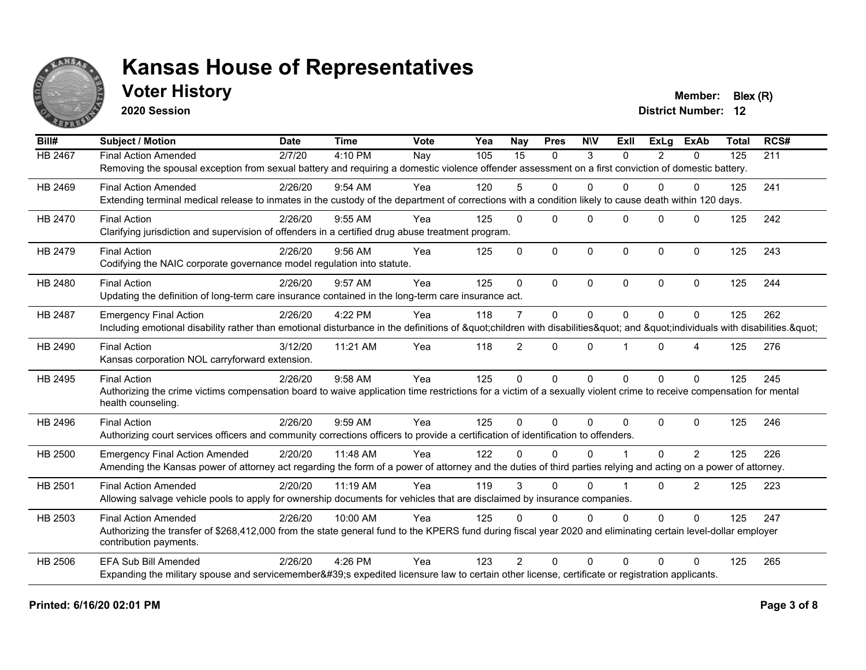

### **Voter History Member: Blex (R)**

**2020 Session**

| Bill#          | <b>Subject / Motion</b>                                                                                                                                             | <b>Date</b> | <b>Time</b> | Vote | Yea | <b>Nay</b>     | <b>Pres</b>  | <b>NIV</b>  | ExII     | ExLa           | <b>ExAb</b>    | <b>Total</b> | RCS# |
|----------------|---------------------------------------------------------------------------------------------------------------------------------------------------------------------|-------------|-------------|------|-----|----------------|--------------|-------------|----------|----------------|----------------|--------------|------|
| <b>HB 2467</b> | <b>Final Action Amended</b>                                                                                                                                         | 2/7/20      | 4:10 PM     | Nay  | 105 | 15             | $\mathbf{0}$ | 3           | $\Omega$ | $\overline{2}$ | $\mathbf{0}$   | 125          | 211  |
|                | Removing the spousal exception from sexual battery and requiring a domestic violence offender assessment on a first conviction of domestic battery.                 |             |             |      |     |                |              |             |          |                |                |              |      |
| HB 2469        | <b>Final Action Amended</b>                                                                                                                                         | 2/26/20     | $9:54$ AM   | Yea  | 120 | 5              | 0            | $\Omega$    | 0        | $\Omega$       | $\Omega$       | 125          | 241  |
|                | Extending terminal medical release to inmates in the custody of the department of corrections with a condition likely to cause death within 120 days.               |             |             |      |     |                |              |             |          |                |                |              |      |
| HB 2470        | <b>Final Action</b>                                                                                                                                                 | 2/26/20     | 9:55 AM     | Yea  | 125 | $\Omega$       | $\Omega$     | $\Omega$    | $\Omega$ | $\Omega$       | $\Omega$       | 125          | 242  |
|                | Clarifying jurisdiction and supervision of offenders in a certified drug abuse treatment program.                                                                   |             |             |      |     |                |              |             |          |                |                |              |      |
| HB 2479        | <b>Final Action</b>                                                                                                                                                 | 2/26/20     | 9:56 AM     | Yea  | 125 | $\mathbf{0}$   | $\mathbf 0$  | $\mathbf 0$ | $\Omega$ | $\mathbf{0}$   | $\mathbf 0$    | 125          | 243  |
|                | Codifying the NAIC corporate governance model regulation into statute.                                                                                              |             |             |      |     |                |              |             |          |                |                |              |      |
| HB 2480        | <b>Final Action</b>                                                                                                                                                 | 2/26/20     | 9:57 AM     | Yea  | 125 | $\Omega$       | $\Omega$     | $\Omega$    | $\Omega$ | $\Omega$       | $\Omega$       | 125          | 244  |
|                | Updating the definition of long-term care insurance contained in the long-term care insurance act.                                                                  |             |             |      |     |                |              |             |          |                |                |              |      |
| <b>HB 2487</b> | <b>Emergency Final Action</b>                                                                                                                                       | 2/26/20     | 4:22 PM     | Yea  | 118 | $\overline{7}$ | $\mathbf 0$  | $\Omega$    | $\Omega$ | $\Omega$       | $\mathbf 0$    | 125          | 262  |
|                | Including emotional disability rather than emotional disturbance in the definitions of "children with disabilities" and "individuals with disabilities. "           |             |             |      |     |                |              |             |          |                |                |              |      |
| HB 2490        | <b>Final Action</b>                                                                                                                                                 | 3/12/20     | 11:21 AM    | Yea  | 118 | $\overline{2}$ | $\mathbf{0}$ | $\mathbf 0$ |          | $\mathbf{0}$   | 4              | 125          | 276  |
|                | Kansas corporation NOL carryforward extension.                                                                                                                      |             |             |      |     |                |              |             |          |                |                |              |      |
| HB 2495        | <b>Final Action</b>                                                                                                                                                 | 2/26/20     | 9:58 AM     | Yea  | 125 | $\mathbf 0$    | $\mathbf 0$  | $\mathbf 0$ | $\Omega$ | $\Omega$       | $\mathbf 0$    | 125          | 245  |
|                | Authorizing the crime victims compensation board to waive application time restrictions for a victim of a sexually violent crime to receive compensation for mental |             |             |      |     |                |              |             |          |                |                |              |      |
|                | health counseling.                                                                                                                                                  |             |             |      |     |                |              |             |          |                |                |              |      |
| HB 2496        | <b>Final Action</b>                                                                                                                                                 | 2/26/20     | 9:59 AM     | Yea  | 125 | $\Omega$       | $\mathbf{0}$ | $\Omega$    | $\Omega$ | $\Omega$       | $\mathbf 0$    | 125          | 246  |
|                | Authorizing court services officers and community corrections officers to provide a certification of identification to offenders.                                   |             |             |      |     |                |              |             |          |                |                |              |      |
| HB 2500        | <b>Emergency Final Action Amended</b>                                                                                                                               | 2/20/20     | 11:48 AM    | Yea  | 122 | $\Omega$       | $\Omega$     | $\Omega$    |          | $\Omega$       | $\overline{2}$ | 125          | 226  |
|                | Amending the Kansas power of attorney act regarding the form of a power of attorney and the duties of third parties relying and acting on a power of attorney.      |             |             |      |     |                |              |             |          |                |                |              |      |
| HB 2501        | <b>Final Action Amended</b>                                                                                                                                         | 2/20/20     | 11:19 AM    | Yea  | 119 | 3              | $\mathbf{0}$ | $\mathbf 0$ |          | $\Omega$       | $\overline{2}$ | 125          | 223  |
|                | Allowing salvage vehicle pools to apply for ownership documents for vehicles that are disclaimed by insurance companies.                                            |             |             |      |     |                |              |             |          |                |                |              |      |
| HB 2503        | <b>Final Action Amended</b>                                                                                                                                         | 2/26/20     | 10:00 AM    | Yea  | 125 | $\Omega$       | $\Omega$     | $\mathbf 0$ | $\Omega$ | $\Omega$       | $\Omega$       | 125          | 247  |
|                | Authorizing the transfer of \$268,412,000 from the state general fund to the KPERS fund during fiscal year 2020 and eliminating certain level-dollar employer       |             |             |      |     |                |              |             |          |                |                |              |      |
|                | contribution payments.                                                                                                                                              |             |             |      |     |                |              |             |          |                |                |              |      |
| HB 2506        | <b>EFA Sub Bill Amended</b>                                                                                                                                         | 2/26/20     | 4:26 PM     | Yea  | 123 | $\mathcal{P}$  | $\Omega$     | $\Omega$    | $\Omega$ | $\Omega$       | $\Omega$       | 125          | 265  |
|                | Expanding the military spouse and servicemember's expedited licensure law to certain other license, certificate or registration applicants.                         |             |             |      |     |                |              |             |          |                |                |              |      |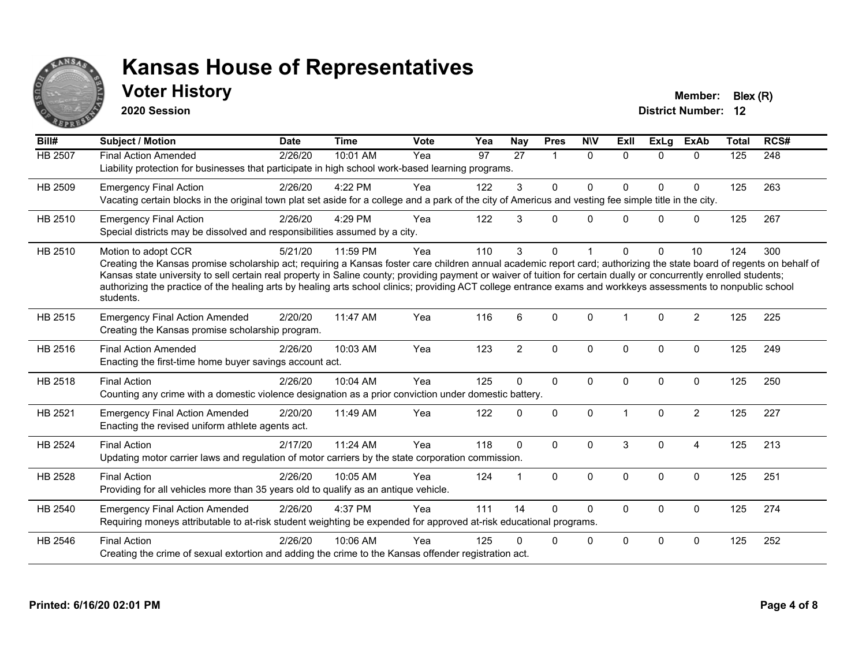

### **Voter History Member: Blex (R)**

**2020 Session**

| Bill#          | <b>Subject / Motion</b>                                                                                                                                                                                                                                                                                                                                                                                                                                                                                                                             | <b>Date</b> | <b>Time</b> | <b>Vote</b> | Yea | <b>Nay</b>     | <b>Pres</b>          | <b>NIV</b>   | <b>ExII</b>    | <b>ExLg</b> | <b>ExAb</b>    | <b>Total</b> | RCS# |
|----------------|-----------------------------------------------------------------------------------------------------------------------------------------------------------------------------------------------------------------------------------------------------------------------------------------------------------------------------------------------------------------------------------------------------------------------------------------------------------------------------------------------------------------------------------------------------|-------------|-------------|-------------|-----|----------------|----------------------|--------------|----------------|-------------|----------------|--------------|------|
| <b>HB 2507</b> | <b>Final Action Amended</b><br>Liability protection for businesses that participate in high school work-based learning programs.                                                                                                                                                                                                                                                                                                                                                                                                                    | 2/26/20     | 10:01 AM    | Yea         | 97  | 27             | $\blacktriangleleft$ | $\mathbf{0}$ | $\Omega$       | $\Omega$    | $\Omega$       | 125          | 248  |
| HB 2509        | <b>Emergency Final Action</b><br>Vacating certain blocks in the original town plat set aside for a college and a park of the city of Americus and vesting fee simple title in the city.                                                                                                                                                                                                                                                                                                                                                             | 2/26/20     | 4:22 PM     | Yea         | 122 | 3              | $\Omega$             | $\Omega$     | 0              | $\Omega$    | $\Omega$       | 125          | 263  |
| HB 2510        | <b>Emergency Final Action</b><br>Special districts may be dissolved and responsibilities assumed by a city.                                                                                                                                                                                                                                                                                                                                                                                                                                         | 2/26/20     | 4:29 PM     | Yea         | 122 | 3              | $\Omega$             | 0            | 0              | $\Omega$    | $\mathbf{0}$   | 125          | 267  |
| HB 2510        | Motion to adopt CCR<br>Creating the Kansas promise scholarship act; requiring a Kansas foster care children annual academic report card; authorizing the state board of regents on behalf of<br>Kansas state university to sell certain real property in Saline county; providing payment or waiver of tuition for certain dually or concurrently enrolled students;<br>authorizing the practice of the healing arts by healing arts school clinics; providing ACT college entrance exams and workkeys assessments to nonpublic school<br>students. | 5/21/20     | 11:59 PM    | Yea         | 110 | 3              | $\mathbf{0}$         |              | <sup>n</sup>   | $\Omega$    | 10             | 124          | 300  |
| HB 2515        | <b>Emergency Final Action Amended</b><br>Creating the Kansas promise scholarship program.                                                                                                                                                                                                                                                                                                                                                                                                                                                           | 2/20/20     | 11:47 AM    | Yea         | 116 | 6              | $\Omega$             | $\Omega$     | $\overline{1}$ | $\Omega$    | $\overline{2}$ | 125          | 225  |
| HB 2516        | <b>Final Action Amended</b><br>Enacting the first-time home buyer savings account act.                                                                                                                                                                                                                                                                                                                                                                                                                                                              | 2/26/20     | 10:03 AM    | Yea         | 123 | $\overline{2}$ | $\mathbf{0}$         | $\mathbf{0}$ | $\Omega$       | $\Omega$    | $\mathbf 0$    | 125          | 249  |
| HB 2518        | <b>Final Action</b><br>Counting any crime with a domestic violence designation as a prior conviction under domestic battery.                                                                                                                                                                                                                                                                                                                                                                                                                        | 2/26/20     | 10:04 AM    | Yea         | 125 | $\Omega$       | $\mathbf{0}$         | $\Omega$     | $\Omega$       | 0           | $\mathbf{0}$   | 125          | 250  |
| HB 2521        | <b>Emergency Final Action Amended</b><br>Enacting the revised uniform athlete agents act.                                                                                                                                                                                                                                                                                                                                                                                                                                                           | 2/20/20     | 11:49 AM    | Yea         | 122 | $\Omega$       | $\mathbf{0}$         | $\Omega$     |                | $\Omega$    | $\overline{2}$ | 125          | 227  |
| <b>HB 2524</b> | <b>Final Action</b><br>Updating motor carrier laws and regulation of motor carriers by the state corporation commission.                                                                                                                                                                                                                                                                                                                                                                                                                            | 2/17/20     | 11:24 AM    | Yea         | 118 | $\Omega$       | $\Omega$             | $\mathbf{0}$ | 3              | $\Omega$    | $\overline{4}$ | 125          | 213  |
| HB 2528        | <b>Final Action</b><br>Providing for all vehicles more than 35 years old to qualify as an antique vehicle.                                                                                                                                                                                                                                                                                                                                                                                                                                          | 2/26/20     | 10:05 AM    | Yea         | 124 |                | $\mathbf{0}$         | $\mathbf{0}$ | $\Omega$       | $\Omega$    | $\mathbf{0}$   | 125          | 251  |
| HB 2540        | <b>Emergency Final Action Amended</b><br>Requiring moneys attributable to at-risk student weighting be expended for approved at-risk educational programs.                                                                                                                                                                                                                                                                                                                                                                                          | 2/26/20     | 4:37 PM     | Yea         | 111 | 14             | $\Omega$             | $\Omega$     | 0              | $\Omega$    | $\mathbf 0$    | 125          | 274  |
| HB 2546        | <b>Final Action</b><br>Creating the crime of sexual extortion and adding the crime to the Kansas offender registration act.                                                                                                                                                                                                                                                                                                                                                                                                                         | 2/26/20     | 10:06 AM    | Yea         | 125 | <sup>0</sup>   | $\Omega$             | $\mathbf 0$  | $\Omega$       | $\Omega$    | $\mathbf 0$    | 125          | 252  |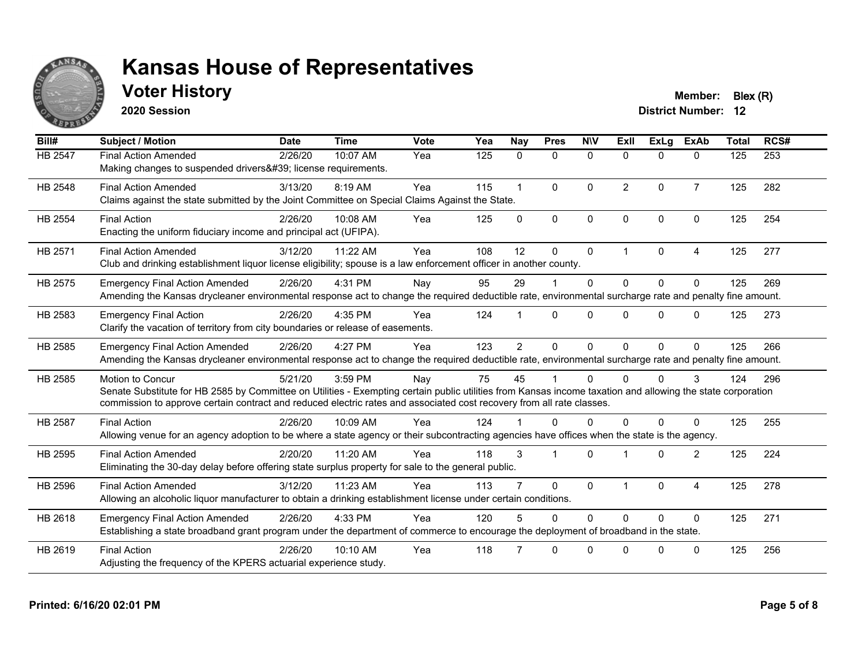

### **Voter History Member: Blex (R)**

**2020 Session**

| Bill#          | <b>Subject / Motion</b>                                                                                                                                                                                                                                                                                         | <b>Date</b> | <b>Time</b> | Vote | Yea | Nay            | <b>Pres</b>  | <b>NIV</b>   | ExII           | ExLa         | <b>ExAb</b>    | <b>Total</b> | RCS# |
|----------------|-----------------------------------------------------------------------------------------------------------------------------------------------------------------------------------------------------------------------------------------------------------------------------------------------------------------|-------------|-------------|------|-----|----------------|--------------|--------------|----------------|--------------|----------------|--------------|------|
| HB 2547        | <b>Final Action Amended</b><br>Making changes to suspended drivers' license requirements.                                                                                                                                                                                                                       | 2/26/20     | 10:07 AM    | Yea  | 125 | $\mathbf{0}$   | $\mathbf{0}$ | $\mathbf{0}$ | $\Omega$       | $\mathbf{0}$ | $\mathbf{0}$   | 125          | 253  |
| HB 2548        | <b>Final Action Amended</b><br>Claims against the state submitted by the Joint Committee on Special Claims Against the State.                                                                                                                                                                                   | 3/13/20     | 8:19 AM     | Yea  | 115 |                | $\mathbf{0}$ | $\mathbf{0}$ | $\overline{2}$ | $\Omega$     | $\overline{7}$ | 125          | 282  |
| <b>HB 2554</b> | <b>Final Action</b><br>Enacting the uniform fiduciary income and principal act (UFIPA).                                                                                                                                                                                                                         | 2/26/20     | 10:08 AM    | Yea  | 125 | $\Omega$       | $\Omega$     | $\Omega$     | $\Omega$       | $\mathbf{0}$ | $\Omega$       | 125          | 254  |
| HB 2571        | <b>Final Action Amended</b><br>Club and drinking establishment liquor license eligibility; spouse is a law enforcement officer in another county.                                                                                                                                                               | 3/12/20     | 11:22 AM    | Yea  | 108 | 12             | $\Omega$     | $\Omega$     | $\overline{1}$ | $\mathbf{0}$ | $\overline{4}$ | 125          | 277  |
| HB 2575        | <b>Emergency Final Action Amended</b><br>Amending the Kansas drycleaner environmental response act to change the required deductible rate, environmental surcharge rate and penalty fine amount.                                                                                                                | 2/26/20     | 4:31 PM     | Nay  | 95  | 29             |              | 0            | $\Omega$       | $\Omega$     | $\Omega$       | 125          | 269  |
| HB 2583        | <b>Emergency Final Action</b><br>Clarify the vacation of territory from city boundaries or release of easements.                                                                                                                                                                                                | 2/26/20     | 4:35 PM     | Yea  | 124 |                | $\Omega$     | $\Omega$     | U              | $\Omega$     | $\Omega$       | 125          | 273  |
| HB 2585        | <b>Emergency Final Action Amended</b><br>Amending the Kansas drycleaner environmental response act to change the required deductible rate, environmental surcharge rate and penalty fine amount.                                                                                                                | 2/26/20     | 4:27 PM     | Yea  | 123 | $\overline{2}$ | $\Omega$     | $\Omega$     | 0              | $\Omega$     | $\Omega$       | 125          | 266  |
| HB 2585        | <b>Motion to Concur</b><br>Senate Substitute for HB 2585 by Committee on Utilities - Exempting certain public utilities from Kansas income taxation and allowing the state corporation<br>commission to approve certain contract and reduced electric rates and associated cost recovery from all rate classes. | 5/21/20     | 3:59 PM     | Nay  | 75  | 45             |              | $\Omega$     |                | 0            | 3              | 124          | 296  |
| <b>HB 2587</b> | <b>Final Action</b><br>Allowing venue for an agency adoption to be where a state agency or their subcontracting agencies have offices when the state is the agency.                                                                                                                                             | 2/26/20     | 10:09 AM    | Yea  | 124 |                | $\Omega$     | $\Omega$     | <sup>n</sup>   | $\Omega$     | 0              | 125          | 255  |
| HB 2595        | <b>Final Action Amended</b><br>Eliminating the 30-day delay before offering state surplus property for sale to the general public.                                                                                                                                                                              | 2/20/20     | 11:20 AM    | Yea  | 118 | 3              | 1            | $\mathbf{0}$ |                | $\Omega$     | $\overline{2}$ | 125          | 224  |
| HB 2596        | <b>Final Action Amended</b><br>Allowing an alcoholic liquor manufacturer to obtain a drinking establishment license under certain conditions.                                                                                                                                                                   | 3/12/20     | 11:23 AM    | Yea  | 113 |                | 0            | $\Omega$     |                | $\mathbf{0}$ | $\overline{4}$ | 125          | 278  |
| HB 2618        | <b>Emergency Final Action Amended</b><br>Establishing a state broadband grant program under the department of commerce to encourage the deployment of broadband in the state.                                                                                                                                   | 2/26/20     | 4:33 PM     | Yea  | 120 | 5              | $\Omega$     | $\Omega$     | $\Omega$       | $\Omega$     | $\Omega$       | 125          | 271  |
| HB 2619        | <b>Final Action</b><br>Adjusting the frequency of the KPERS actuarial experience study.                                                                                                                                                                                                                         | 2/26/20     | 10:10 AM    | Yea  | 118 |                | $\Omega$     | $\Omega$     |                | $\Omega$     | $\Omega$       | 125          | 256  |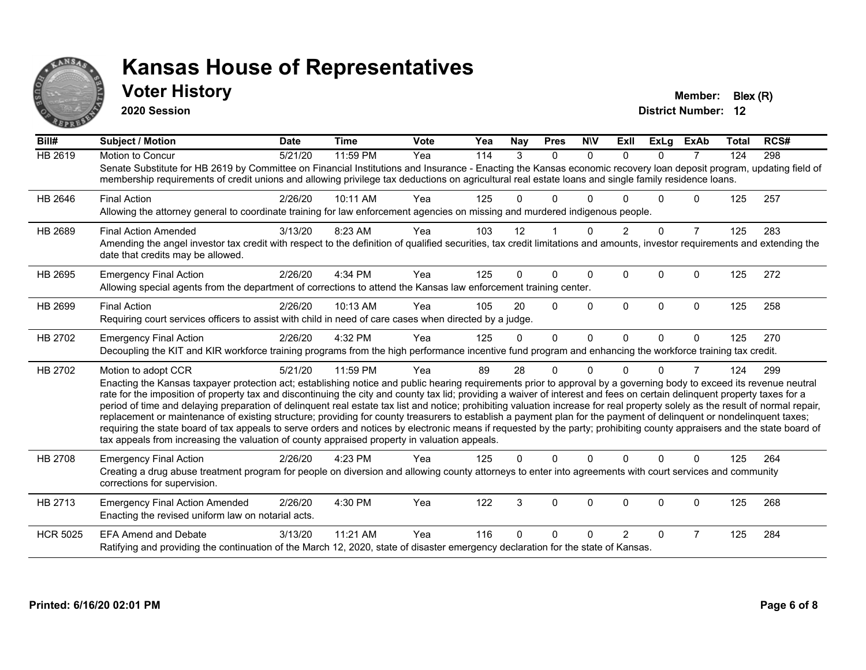

#### **Voter History Member: Blex (R)**

**2020 Session**

| Bill#           | <b>Subject / Motion</b>                                                                                                                                                                                                                                                                                                                                     | <b>Date</b> | <b>Time</b> | Vote | Yea | Nay | <b>Pres</b> | <b>NIV</b>   | ExII           | <b>ExLg</b>  | <b>ExAb</b>    | <b>Total</b> | RCS# |
|-----------------|-------------------------------------------------------------------------------------------------------------------------------------------------------------------------------------------------------------------------------------------------------------------------------------------------------------------------------------------------------------|-------------|-------------|------|-----|-----|-------------|--------------|----------------|--------------|----------------|--------------|------|
| <b>HB 2619</b>  | <b>Motion to Concur</b>                                                                                                                                                                                                                                                                                                                                     | 5/21/20     | 11:59 PM    | Yea  | 114 | 3   | $\Omega$    | $\Omega$     | 0              | $\Omega$     | 7              | 124          | 298  |
|                 | Senate Substitute for HB 2619 by Committee on Financial Institutions and Insurance - Enacting the Kansas economic recovery loan deposit program, updating field of<br>membership requirements of credit unions and allowing privilege tax deductions on agricultural real estate loans and single family residence loans.                                   |             |             |      |     |     |             |              |                |              |                |              |      |
| HB 2646         | <b>Final Action</b>                                                                                                                                                                                                                                                                                                                                         | 2/26/20     | 10:11 AM    | Yea  | 125 | U   | 0           | ∩            |                | 0            | $\Omega$       | 125          | 257  |
|                 | Allowing the attorney general to coordinate training for law enforcement agencies on missing and murdered indigenous people.                                                                                                                                                                                                                                |             |             |      |     |     |             |              |                |              |                |              |      |
| HB 2689         | <b>Final Action Amended</b>                                                                                                                                                                                                                                                                                                                                 | 3/13/20     | 8:23 AM     | Yea  | 103 | 12  |             | $\Omega$     | $\overline{2}$ | $\Omega$     | $\overline{7}$ | 125          | 283  |
|                 | Amending the angel investor tax credit with respect to the definition of qualified securities, tax credit limitations and amounts, investor requirements and extending the<br>date that credits may be allowed.                                                                                                                                             |             |             |      |     |     |             |              |                |              |                |              |      |
| HB 2695         | <b>Emergency Final Action</b>                                                                                                                                                                                                                                                                                                                               | 2/26/20     | 4:34 PM     | Yea  | 125 | 0   | 0           | $\mathbf{0}$ | 0              | 0            | $\Omega$       | 125          | 272  |
|                 | Allowing special agents from the department of corrections to attend the Kansas law enforcement training center.                                                                                                                                                                                                                                            |             |             |      |     |     |             |              |                |              |                |              |      |
| HB 2699         | <b>Final Action</b>                                                                                                                                                                                                                                                                                                                                         | 2/26/20     | 10:13 AM    | Yea  | 105 | 20  | $\Omega$    | $\Omega$     | $\Omega$       | $\mathbf{0}$ | $\mathbf{0}$   | 125          | 258  |
|                 | Requiring court services officers to assist with child in need of care cases when directed by a judge.                                                                                                                                                                                                                                                      |             |             |      |     |     |             |              |                |              |                |              |      |
| HB 2702         | <b>Emergency Final Action</b>                                                                                                                                                                                                                                                                                                                               | 2/26/20     | 4:32 PM     | Yea  | 125 | 0   | $\Omega$    | $\Omega$     | $\Omega$       | $\Omega$     | $\Omega$       | 125          | 270  |
|                 | Decoupling the KIT and KIR workforce training programs from the high performance incentive fund program and enhancing the workforce training tax credit.                                                                                                                                                                                                    |             |             |      |     |     |             |              |                |              |                |              |      |
| HB 2702         | Motion to adopt CCR                                                                                                                                                                                                                                                                                                                                         | 5/21/20     | 11:59 PM    | Yea  | 89  | 28  | $\Omega$    | $\Omega$     |                | 0            | 7              | 124          | 299  |
|                 | Enacting the Kansas taxpayer protection act; establishing notice and public hearing requirements prior to approval by a governing body to exceed its revenue neutral                                                                                                                                                                                        |             |             |      |     |     |             |              |                |              |                |              |      |
|                 | rate for the imposition of property tax and discontinuing the city and county tax lid; providing a waiver of interest and fees on certain delinquent property taxes for a<br>period of time and delaying preparation of delinquent real estate tax list and notice; prohibiting valuation increase for real property solely as the result of normal repair, |             |             |      |     |     |             |              |                |              |                |              |      |
|                 | replacement or maintenance of existing structure; providing for county treasurers to establish a payment plan for the payment of delinquent or nondelinquent taxes;                                                                                                                                                                                         |             |             |      |     |     |             |              |                |              |                |              |      |
|                 | requiring the state board of tax appeals to serve orders and notices by electronic means if requested by the party; prohibiting county appraisers and the state board of<br>tax appeals from increasing the valuation of county appraised property in valuation appeals.                                                                                    |             |             |      |     |     |             |              |                |              |                |              |      |
|                 |                                                                                                                                                                                                                                                                                                                                                             |             |             |      |     |     |             |              |                |              |                |              |      |
| HB 2708         | <b>Emergency Final Action</b>                                                                                                                                                                                                                                                                                                                               | 2/26/20     | 4:23 PM     | Yea  | 125 | 0   | $\Omega$    | $\Omega$     | $\Omega$       | $\Omega$     | $\Omega$       | 125          | 264  |
|                 | Creating a drug abuse treatment program for people on diversion and allowing county attorneys to enter into agreements with court services and community<br>corrections for supervision.                                                                                                                                                                    |             |             |      |     |     |             |              |                |              |                |              |      |
| HB 2713         | <b>Emergency Final Action Amended</b>                                                                                                                                                                                                                                                                                                                       | 2/26/20     | 4:30 PM     | Yea  | 122 | 3   | $\Omega$    | $\Omega$     | 0              | $\Omega$     | 0              | 125          | 268  |
|                 | Enacting the revised uniform law on notarial acts.                                                                                                                                                                                                                                                                                                          |             |             |      |     |     |             |              |                |              |                |              |      |
| <b>HCR 5025</b> | <b>EFA Amend and Debate</b>                                                                                                                                                                                                                                                                                                                                 | 3/13/20     | 11:21 AM    | Yea  | 116 | 0   | 0           | n            | $\overline{2}$ | 0            | 7              | 125          | 284  |
|                 | Ratifying and providing the continuation of the March 12, 2020, state of disaster emergency declaration for the state of Kansas.                                                                                                                                                                                                                            |             |             |      |     |     |             |              |                |              |                |              |      |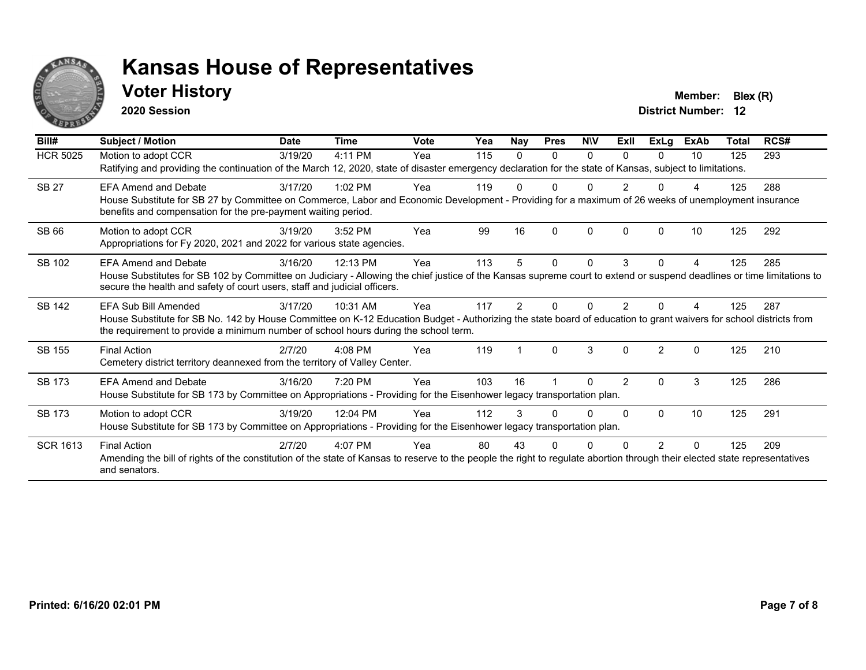

#### **Voter History Member: Blex (R)**

**2020 Session**

| Bill#           | Subject / Motion                                                                                                                                                                                                                                                                  | <b>Date</b> | <b>Time</b> | <b>Vote</b> | Yea | <b>Nay</b>    | <b>Pres</b> | <b>NIV</b>   | ExII           | <b>ExLg</b>   | <b>ExAb</b>  | <b>Total</b> | RCS# |
|-----------------|-----------------------------------------------------------------------------------------------------------------------------------------------------------------------------------------------------------------------------------------------------------------------------------|-------------|-------------|-------------|-----|---------------|-------------|--------------|----------------|---------------|--------------|--------------|------|
| <b>HCR 5025</b> | Motion to adopt CCR<br>Ratifying and providing the continuation of the March 12, 2020, state of disaster emergency declaration for the state of Kansas, subject to limitations.                                                                                                   | 3/19/20     | 4:11 PM     | Yea         | 115 | 0             | 0           | 0            | 0              | $\Omega$      | 10           | 125          | 293  |
| <b>SB 27</b>    | <b>EFA Amend and Debate</b><br>House Substitute for SB 27 by Committee on Commerce, Labor and Economic Development - Providing for a maximum of 26 weeks of unemployment insurance<br>benefits and compensation for the pre-payment waiting period.                               | 3/17/20     | $1:02$ PM   | Yea         | 119 |               |             | U            |                |               |              | 125          | 288  |
| <b>SB 66</b>    | Motion to adopt CCR<br>Appropriations for Fy 2020, 2021 and 2022 for various state agencies.                                                                                                                                                                                      | 3/19/20     | 3:52 PM     | Yea         | 99  | 16            | $\Omega$    | $\mathbf{0}$ | $\Omega$       | $\Omega$      | 10           | 125          | 292  |
| SB 102          | <b>EFA Amend and Debate</b><br>House Substitutes for SB 102 by Committee on Judiciary - Allowing the chief justice of the Kansas supreme court to extend or suspend deadlines or time limitations to<br>secure the health and safety of court users, staff and judicial officers. | 3/16/20     | 12:13 PM    | Yea         | 113 | 5             | 0           | $\Omega$     | 3              | 0             | 4            | 125          | 285  |
| <b>SB 142</b>   | EFA Sub Bill Amended<br>House Substitute for SB No. 142 by House Committee on K-12 Education Budget - Authorizing the state board of education to grant waivers for school districts from<br>the requirement to provide a minimum number of school hours during the school term.  | 3/17/20     | 10:31 AM    | Yea         | 117 | $\mathcal{P}$ |             | O            | $\mathcal{P}$  |               |              | 125          | 287  |
| SB 155          | <b>Final Action</b><br>Cemetery district territory deannexed from the territory of Valley Center.                                                                                                                                                                                 | 2/7/20      | 4:08 PM     | Yea         | 119 |               | $\Omega$    | 3            | $\Omega$       | $\mathcal{P}$ | $\mathbf{0}$ | 125          | 210  |
| SB 173          | <b>EFA Amend and Debate</b><br>House Substitute for SB 173 by Committee on Appropriations - Providing for the Eisenhower legacy transportation plan.                                                                                                                              | 3/16/20     | 7:20 PM     | Yea         | 103 | 16            |             | 0            | $\overline{2}$ | $\mathbf{0}$  | 3            | 125          | 286  |
| SB 173          | Motion to adopt CCR<br>House Substitute for SB 173 by Committee on Appropriations - Providing for the Eisenhower legacy transportation plan.                                                                                                                                      | 3/19/20     | 12:04 PM    | Yea         | 112 | 3             |             | U            | $\Omega$       | $\Omega$      | 10           | 125          | 291  |
| <b>SCR 1613</b> | <b>Final Action</b><br>Amending the bill of rights of the constitution of the state of Kansas to reserve to the people the right to regulate abortion through their elected state representatives<br>and senators.                                                                | 2/7/20      | 4:07 PM     | Yea         | 80  | 43            |             | U            |                |               |              | 125          | 209  |